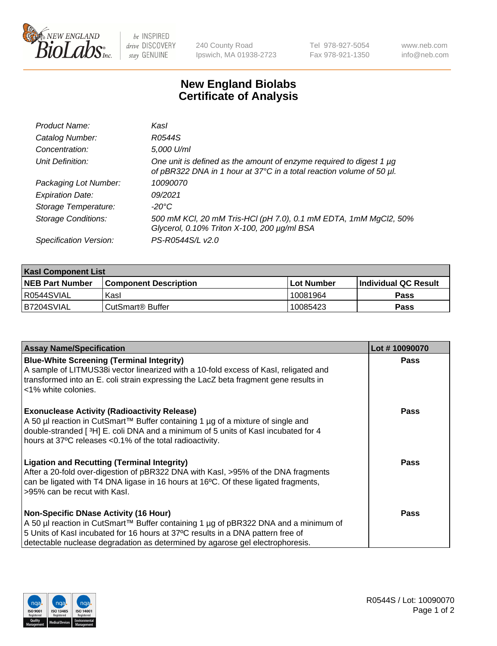

be INSPIRED drive DISCOVERY stay GENUINE

240 County Road Ipswich, MA 01938-2723 Tel 978-927-5054 Fax 978-921-1350

www.neb.com info@neb.com

## **New England Biolabs Certificate of Analysis**

| Product Name:              | Kasl                                                                                                                                             |
|----------------------------|--------------------------------------------------------------------------------------------------------------------------------------------------|
| Catalog Number:            | R0544S                                                                                                                                           |
| Concentration:             | 5,000 U/ml                                                                                                                                       |
| Unit Definition:           | One unit is defined as the amount of enzyme required to digest 1 $\mu$ g<br>of pBR322 DNA in 1 hour at 37°C in a total reaction volume of 50 µl. |
| Packaging Lot Number:      | 10090070                                                                                                                                         |
| <b>Expiration Date:</b>    | 09/2021                                                                                                                                          |
| Storage Temperature:       | -20°C                                                                                                                                            |
| <b>Storage Conditions:</b> | 500 mM KCl, 20 mM Tris-HCl (pH 7.0), 0.1 mM EDTA, 1mM MgCl2, 50%<br>Glycerol, 0.10% Triton X-100, 200 µg/ml BSA                                  |
| Specification Version:     | PS-R0544S/L v2.0                                                                                                                                 |

| <b>Kasl Component List</b> |                              |                   |                             |  |  |
|----------------------------|------------------------------|-------------------|-----------------------------|--|--|
| <b>NEB Part Number</b>     | <b>Component Description</b> | <b>Lot Number</b> | <b>Individual QC Result</b> |  |  |
| I R0544SVIAL               | Kasl                         | 10081964          | <b>Pass</b>                 |  |  |
| B7204SVIAL                 | l CutSmart® Buffer           | 10085423          | Pass                        |  |  |

| <b>Assay Name/Specification</b>                                                                                                                                                                                                                                                                         | Lot #10090070 |
|---------------------------------------------------------------------------------------------------------------------------------------------------------------------------------------------------------------------------------------------------------------------------------------------------------|---------------|
| <b>Blue-White Screening (Terminal Integrity)</b><br>A sample of LITMUS38i vector linearized with a 10-fold excess of Kasl, religated and<br>transformed into an E. coli strain expressing the LacZ beta fragment gene results in<br><1% white colonies.                                                 | Pass          |
| <b>Exonuclease Activity (Radioactivity Release)</b><br>A 50 µl reaction in CutSmart™ Buffer containing 1 µg of a mixture of single and<br>double-stranded [3H] E. coli DNA and a minimum of 5 units of Kasl incubated for 4<br>hours at 37°C releases <0.1% of the total radioactivity.                 | <b>Pass</b>   |
| <b>Ligation and Recutting (Terminal Integrity)</b><br>After a 20-fold over-digestion of pBR322 DNA with Kasl, >95% of the DNA fragments<br>can be ligated with T4 DNA ligase in 16 hours at 16°C. Of these ligated fragments,<br>>95% can be recut with Kasl.                                           | Pass          |
| <b>Non-Specific DNase Activity (16 Hour)</b><br>A 50 µl reaction in CutSmart™ Buffer containing 1 µg of pBR322 DNA and a minimum of<br>5 Units of Kasl incubated for 16 hours at 37°C results in a DNA pattern free of<br>detectable nuclease degradation as determined by agarose gel electrophoresis. | Pass          |